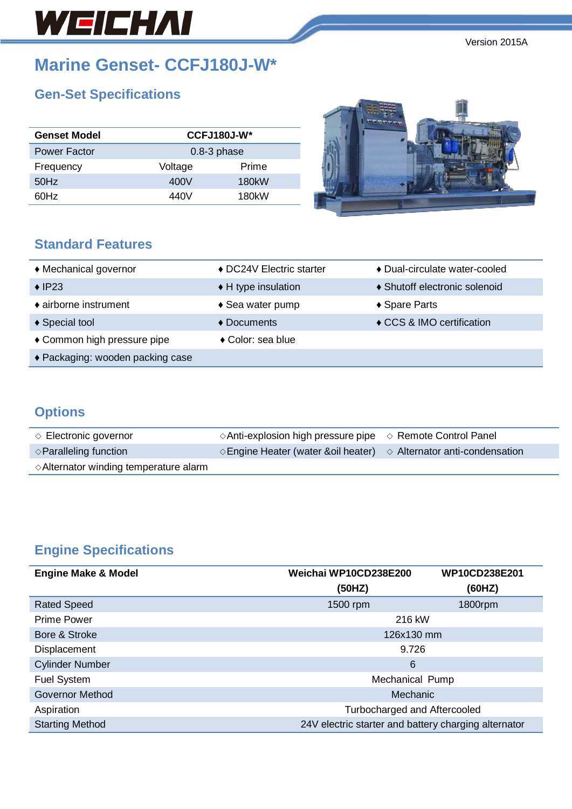# WEICHAI

Version 2015A

# **Marine Genset- CCFJ180J-W\***

# **Gen-Set Specifications**

| <b>Genset Model</b> |         | $CCFJ180J-W*$   |  |
|---------------------|---------|-----------------|--|
| Power Factor        |         | $0.8 - 3$ phase |  |
| Frequency           | Voltage | Prime           |  |
| 50Hz                | 400V    | 180kW           |  |
| 60Hz                | 440V    | 180kW           |  |



### **Standard Features**

| ♦ Mechanical governor            | ◆ DC24V Electric starter   | ♦ Dual-circulate water-cooled |
|----------------------------------|----------------------------|-------------------------------|
| $\triangle$ IP23                 | ◆ H type insulation        | ♦ Shutoff electronic solenoid |
| ♦ airborne instrument            | $\triangle$ Sea water pump | ◆ Spare Parts                 |
| ♦ Special tool                   | $\triangle$ Documents      | ♦ CCS & IMO certification     |
| ◆ Common high pressure pipe      | ◆ Color: sea blue          |                               |
| ◆ Packaging: wooden packing case |                            |                               |

## **Options**

| $\Diamond$ Electronic governor                  | $\Diamond$ Anti-explosion high pressure pipe $\Diamond$ Remote Control Panel          |  |
|-------------------------------------------------|---------------------------------------------------------------------------------------|--|
| $\Diamond$ Paralleling function                 | $\Diamond$ Engine Heater (water & oil heater) $\Diamond$ Alternator anti-condensation |  |
| $\Diamond$ Alternator winding temperature alarm |                                                                                       |  |

# **Engine Specifications**

| <b>Engine Make &amp; Model</b> | Weichai WP10CD238E200<br>WP10CD238E201               |         |
|--------------------------------|------------------------------------------------------|---------|
|                                | (50HZ)                                               | (60HZ)  |
| <b>Rated Speed</b>             | 1500 rpm                                             | 1800rpm |
| <b>Prime Power</b>             | 216 kW                                               |         |
| Bore & Stroke                  | 126x130 mm                                           |         |
| Displacement                   | 9.726                                                |         |
| <b>Cylinder Number</b>         | 6                                                    |         |
| <b>Fuel System</b>             | Mechanical Pump                                      |         |
| <b>Governor Method</b>         | Mechanic                                             |         |
| Aspiration                     | Turbocharged and Aftercooled                         |         |
| <b>Starting Method</b>         | 24V electric starter and battery charging alternator |         |